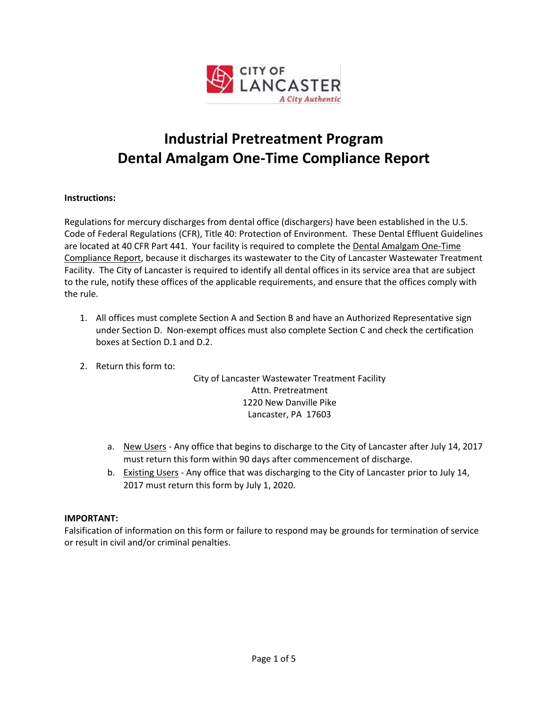

# **Industrial Pretreatment Program Dental Amalgam One-Time Compliance Report**

## **Instructions:**

Regulations for mercury discharges from dental office (dischargers) have been established in the U.S. Code of Federal Regulations (CFR), Title 40: Protection of Environment. These Dental Effluent Guidelines are located at 40 CFR Part 441. Your facility is required to complete the Dental Amalgam One-Time Compliance Report, because it discharges its wastewater to the City of Lancaster Wastewater Treatment Facility. The City of Lancaster is required to identify all dental offices in its service area that are subject to the rule, notify these offices of the applicable requirements, and ensure that the offices comply with the rule.

- 1. All offices must complete Section A and Section B and have an Authorized Representative sign under Section D. Non-exempt offices must also complete Section C and check the certification boxes at Section D.1 and D.2.
- 2. Return this form to:

City of Lancaster Wastewater Treatment Facility Attn. Pretreatment 1220 New Danville Pike Lancaster, PA 17603

- a. New Users Any office that begins to discharge to the City of Lancaster after July 14, 2017 must return this form within 90 days after commencement of discharge.
- b. Existing Users Any office that was discharging to the City of Lancaster prior to July 14, 2017 must return this form by July 1, 2020.

# **IMPORTANT:**

Falsification of information on this form or failure to respond may be grounds for termination of service or result in civil and/or criminal penalties.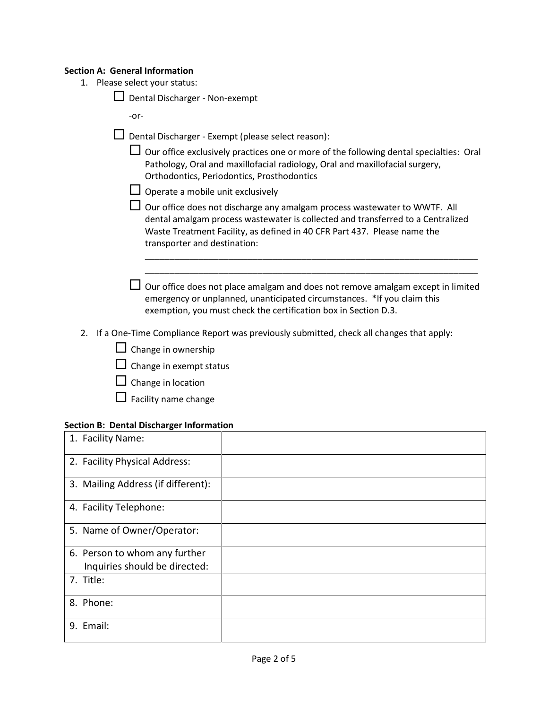#### **Section A: General Information**

1. Please select your status:

 $\Box$  Dental Discharger - Non-exempt

-or-

- $\square$  Dental Discharger Exempt (please select reason):
	- $\Box$  Our office exclusively practices one or more of the following dental specialties: Oral Pathology, Oral and maxillofacial radiology, Oral and maxillofacial surgery, Orthodontics, Periodontics, Prosthodontics
	- $\Box$  Operate a mobile unit exclusively
	- $\Box$  Our office does not discharge any amalgam process wastewater to WWTF. All dental amalgam process wastewater is collected and transferred to a Centralized Waste Treatment Facility, as defined in 40 CFR Part 437. Please name the transporter and destination:
	- $\Box$  Our office does not place amalgam and does not remove amalgam except in limited emergency or unplanned, unanticipated circumstances. \*If you claim this exemption, you must check the certification box in Section D.3.

\_\_\_\_\_\_\_\_\_\_\_\_\_\_\_\_\_\_\_\_\_\_\_\_\_\_\_\_\_\_\_\_\_\_\_\_\_\_\_\_\_\_\_\_\_\_\_\_\_\_\_\_\_\_\_\_\_\_\_\_\_\_\_\_\_\_\_\_ \_\_\_\_\_\_\_\_\_\_\_\_\_\_\_\_\_\_\_\_\_\_\_\_\_\_\_\_\_\_\_\_\_\_\_\_\_\_\_\_\_\_\_\_\_\_\_\_\_\_\_\_\_\_\_\_\_\_\_\_\_\_\_\_\_\_\_\_

- 2. If a One-Time Compliance Report was previously submitted, check all changes that apply:
	- $\Box$  Change in ownership
	- $\Box$  Change in exempt status
	- $\Box$  Change in location
	- $\Box$  Facility name change

#### **Section B: Dental Discharger Information**

| 1. Facility Name:                  |  |
|------------------------------------|--|
| 2. Facility Physical Address:      |  |
| 3. Mailing Address (if different): |  |
| 4. Facility Telephone:             |  |
| 5. Name of Owner/Operator:         |  |
| 6. Person to whom any further      |  |
| Inquiries should be directed:      |  |
| 7. Title:                          |  |
| 8. Phone:                          |  |
| 9. Email:                          |  |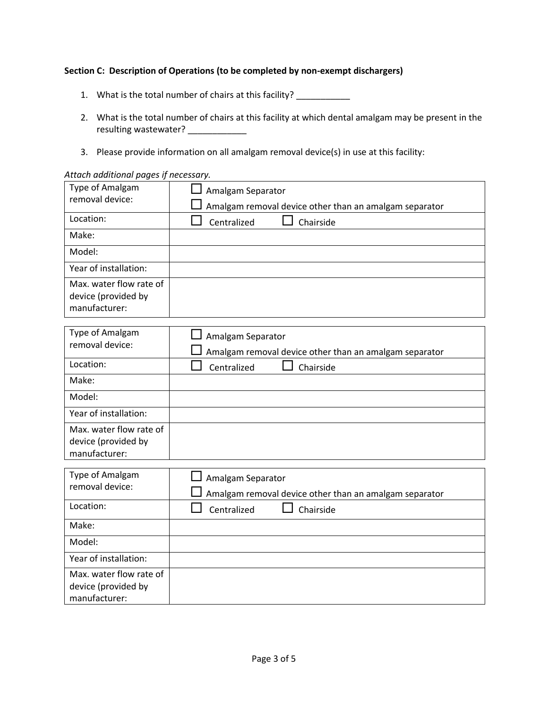#### **Section C: Description of Operations (to be completed by non-exempt dischargers)**

- 1. What is the total number of chairs at this facility? \_\_\_\_\_\_\_\_\_\_\_\_
- 2. What is the total number of chairs at this facility at which dental amalgam may be present in the resulting wastewater? \_\_\_\_\_\_\_\_\_\_\_\_\_
- 3. Please provide information on all amalgam removal device(s) in use at this facility:

#### *Attach additional pages if necessary.*

| Type of Amalgam<br>removal device:                              | Amalgam Separator                                                           |
|-----------------------------------------------------------------|-----------------------------------------------------------------------------|
|                                                                 | Amalgam removal device other than an amalgam separator                      |
| Location:                                                       | Centralized<br>Chairside                                                    |
| Make:                                                           |                                                                             |
| Model:                                                          |                                                                             |
| Year of installation:                                           |                                                                             |
| Max. water flow rate of<br>device (provided by<br>manufacturer: |                                                                             |
| Type of Amalgam<br>removal device:                              | Amalgam Separator<br>Amalgam removal device other than an amalgam separator |
| Location:                                                       | Centralized<br>Chairside                                                    |
| Make:                                                           |                                                                             |
| Model:                                                          |                                                                             |
| Year of installation:                                           |                                                                             |
| Max. water flow rate of<br>device (provided by<br>manufacturer: |                                                                             |
| Type of Amalgam                                                 |                                                                             |
| removal device:                                                 | Amalgam Separator<br>Amalgam removal device other than an amalgam separator |
| Location:                                                       | Centralized<br>Chairside                                                    |
| Make:                                                           |                                                                             |
| Model:                                                          |                                                                             |
| Year of installation:                                           |                                                                             |
| Max. water flow rate of<br>device (provided by<br>manufacturer: |                                                                             |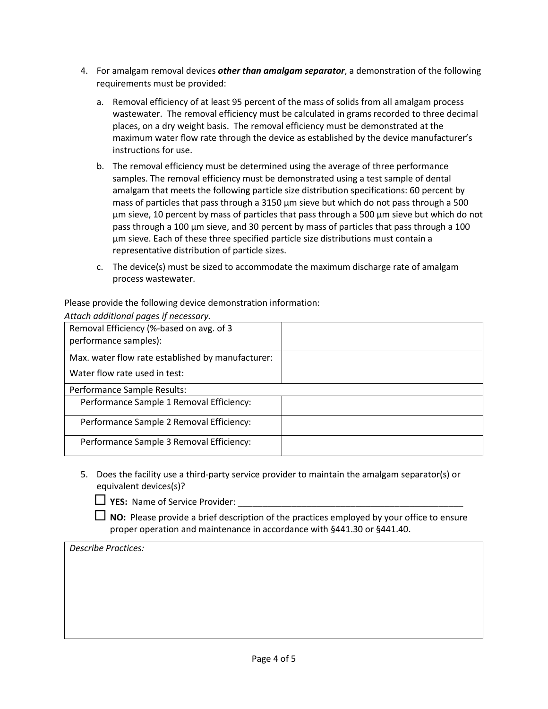- 4. For amalgam removal devices *other than amalgam separator*, a demonstration of the following requirements must be provided:
	- a. Removal efficiency of at least 95 percent of the mass of solids from all amalgam process wastewater. The removal efficiency must be calculated in grams recorded to three decimal places, on a dry weight basis. The removal efficiency must be demonstrated at the maximum water flow rate through the device as established by the device manufacturer's instructions for use.
	- b. The removal efficiency must be determined using the average of three performance samples. The removal efficiency must be demonstrated using a test sample of dental amalgam that meets the following particle size distribution specifications: 60 percent by mass of particles that pass through a 3150 µm sieve but which do not pass through a 500 µm sieve, 10 percent by mass of particles that pass through a 500 µm sieve but which do not pass through a 100 µm sieve, and 30 percent by mass of particles that pass through a 100 µm sieve. Each of these three specified particle size distributions must contain a representative distribution of particle sizes.
	- c. The device(s) must be sized to accommodate the maximum discharge rate of amalgam process wastewater.

Please provide the following device demonstration information:

| Attach additional pages if necessary.                             |  |
|-------------------------------------------------------------------|--|
| Removal Efficiency (%-based on avg. of 3<br>performance samples): |  |
| Max. water flow rate established by manufacturer:                 |  |
| Water flow rate used in test:                                     |  |
| Performance Sample Results:                                       |  |
| Performance Sample 1 Removal Efficiency:                          |  |
| Performance Sample 2 Removal Efficiency:                          |  |
| Performance Sample 3 Removal Efficiency:                          |  |

5. Does the facility use a third-party service provider to maintain the amalgam separator(s) or equivalent devices(s)?

 **NO:** Please provide a brief description of the practices employed by your office to ensure proper operation and maintenance in accordance with §441.30 or §441.40.

# *Describe Practices:*